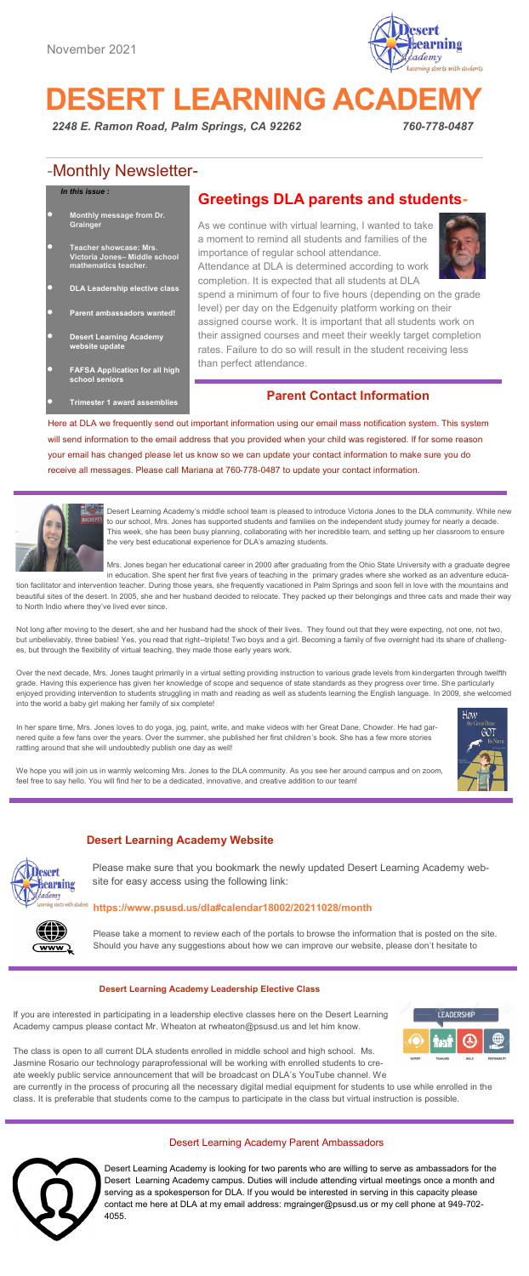

# **DESERT LEARNING ACADEMY**

*2248 E. Ramon Road, Palm Springs, CA 92262 760-778-0487* 

# -Monthly Newsletter-

#### *In this issue* **:**

- **Monthly message from Dr. Grainger**
- **Teacher showcase: Mrs. Victoria Jones– Middle school mathematics teacher.**
- **DLA Leadership elective class**
- **Parent ambassadors wanted!**
- **Desert Learning Academy website update**
- **FAFSA Application for all high school seniors**
	- **Trimester 1 award assemblies**

# **Greetings DLA parents and students-**

As we continue with virtual learning, I wanted to take a moment to remind all students and families of the importance of regular school attendance. Attendance at DLA is determined according to work



completion. It is expected that all students at DLA spend a minimum of four to five hours (depending on the grade level) per day on the Edgenuity platform working on their assigned course work. It is important that all students work on their assigned courses and meet their weekly target completion rates. Failure to do so will result in the student receiving less than perfect attendance.

# **Parent Contact Information**

Here at DLA we frequently send out important information using our email mass notification system. This system will send information to the email address that you provided when your child was registered. If for some reason your email has changed please let us know so we can update your contact information to make sure you do receive all messages. Please call Mariana at 760-778-0487 to update your contact information.



Desert Learning Academy's middle school team is pleased to introduce Victoria Jones to the DLA community. While new to our school, Mrs. Jones has supported students and families on the independent study journey for nearly a decade. This week, she has been busy planning, collaborating with her incredible team, and setting up her classroom to ensure the very best educational experience for DLA's amazing students.

Mrs. Jones began her educational career in 2000 after graduating from the Ohio State University with a graduate degree in education. She spent her first five years of teaching in the primary grades where she worked as an adventure educa-

tion facilitator and intervention teacher. During those years, she frequently vacationed in Palm Springs and soon fell in love with the mountains and beautiful sites of the desert. In 2005, she and her husband decided to relocate. They packed up their belongings and three cats and made their way to North Indio where they've lived ever since

Not long after moving to the desert, she and her husband had the shock of their lives. They found out that they were expecting, not one, not two, but unbelievably, three babies! Yes, you read that right--triplets! Two boys and a girl. Becoming a family of five overnight had its share of challenges, but through the flexibility of virtual teaching, they made those early ye

Over the next decade, Mrs. Jones taught primarily in a virtual setting providing instruction to various grade levels from kindergarten through twelfth grade. Having this experience has given her knowledge of scope and sequence of state standards as they progress over time. She particularly enjoyed providing intervention to students struggling in math and reading as well as students learning the English language. In 2009, she welcomed into the world a baby girl making her family of six complete!

In her spare time, Mrs. Jones loves to do yoga, jog, paint, write, and make videos with her Great Dane, Chowder. He had garnered quite a few fans over the years. Over the summer, she published her first children's book. She has a few more stories rattling around that she will undoubtedly publish one day as well!



We hope you will join us in warmly welcoming Mrs. Jones to the DLA community. As you see her around campus and on zoom,<br>feel free to say hello. You will find her to be a dedicated, innovative, and creative addition to our feel free to say hello. You will find her to be a dedicated, innovative, and creativ

# **Desert Learning Academy Website**



*Photo Caption*

Please make sure that you bookmark the newly updated Desert Learning Academy website for easy access using the following link:

#### **https://www.psusd.us/dla#calendar18002/20211028/month**

Please take a moment to review each of the portals to browse the information that is posted on the site. Should you have any suggestions about how we can improve our website, please don't hesitate to

#### **Desert Learning Academy Leadership Elective Class**

If you are interested in participating in a leadership elective classes here on the Desert Learning Academy campus please contact Mr. Wheaton at rwheaton@psusd.us and let him know.



The class is open to all current DLA students enrolled in middle school and high school. Ms. Jasmine Rosario our technology paraprofessional will be working with enrolled students to create weekly public service announcement that will be broadcast on DLA's YouTube channel. We

are currently in the process of procuring all the necessary digital medial equipment for students to use while enrolled in the class. It is preferable that students come to the campus to participate in the class but virtual instruction is possible.

#### Desert Learning Academy Parent Ambassadors



Desert Learning Academy is looking for two parents who are willing to serve as ambassadors for the Desert Learning Academy campus. Duties will include attending virtual meetings once a month and serving as a spokesperson for DLA. If you would be interested in serving in this capacity please contact me here at DLA at my email address: mgrainger@psusd.us or my cell phone at 949-702- 4055.